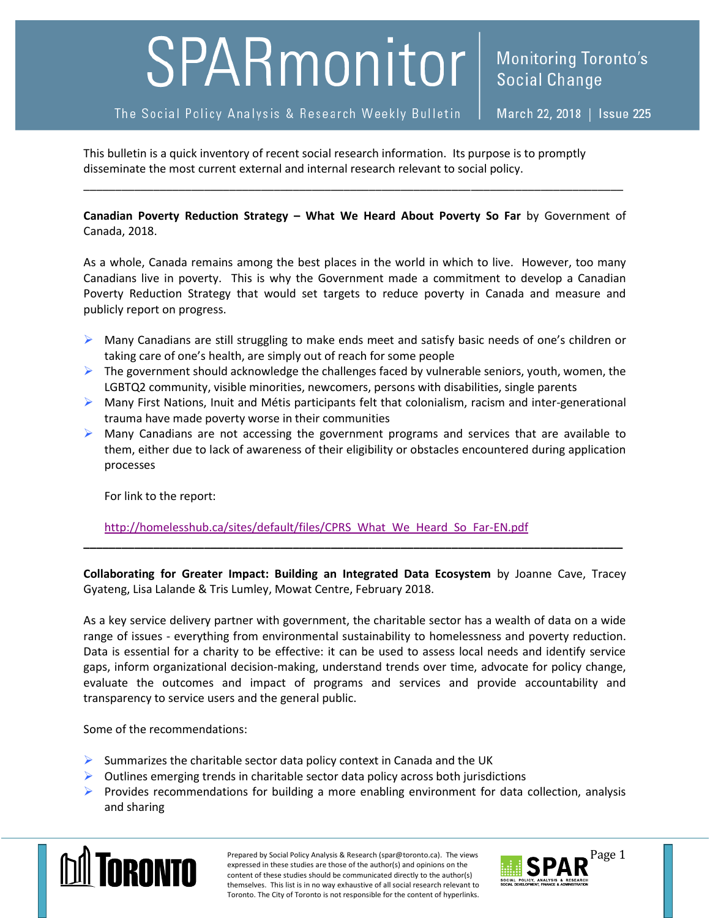## SPARmonitor

The Social Policy Analysis & Research Weekly Bulletin

This bulletin is a quick inventory of recent social research information. Its purpose is to promptly disseminate the most current external and internal research relevant to social policy.

**Canadian Poverty Reduction Strategy – What We Heard About Poverty So Far** by Government of Canada, 2018.

\_\_\_\_\_\_\_\_\_\_\_\_\_\_\_\_\_\_\_\_\_\_\_\_\_\_\_\_\_\_\_\_\_\_\_\_\_\_\_\_\_\_\_\_\_\_\_\_\_\_\_\_\_\_\_\_\_\_\_\_\_\_\_\_\_\_\_\_\_\_\_\_\_\_\_\_\_\_\_\_\_\_\_\_\_

As a whole, Canada remains among the best places in the world in which to live. However, too many Canadians live in poverty. This is why the Government made a commitment to develop a Canadian Poverty Reduction Strategy that would set targets to reduce poverty in Canada and measure and publicly report on progress.

- $\triangleright$  Many Canadians are still struggling to make ends meet and satisfy basic needs of one's children or taking care of one's health, are simply out of reach for some people
- $\triangleright$  The government should acknowledge the challenges faced by vulnerable seniors, youth, women, the LGBTQ2 community, visible minorities, newcomers, persons with disabilities, single parents
- $\triangleright$  Many First Nations, Inuit and Métis participants felt that colonialism, racism and inter-generational trauma have made poverty worse in their communities
- $\triangleright$  Many Canadians are not accessing the government programs and services that are available to them, either due to lack of awareness of their eligibility or obstacles encountered during application processes

For link to the report:

[http://homelesshub.ca/sites/default/files/CPRS\\_What\\_We\\_Heard\\_So\\_Far-EN.pdf](http://homelesshub.ca/sites/default/files/CPRS_What_We_Heard_So_Far-EN.pdf)

**Collaborating for Greater Impact: Building an Integrated Data Ecosystem** by Joanne Cave, Tracey Gyateng, Lisa Lalande & Tris Lumley, Mowat Centre, February 2018.

**\_\_\_\_\_\_\_\_\_\_\_\_\_\_\_\_\_\_\_\_\_\_\_\_\_\_\_\_\_\_\_\_\_\_\_\_\_\_\_\_\_\_\_\_\_\_\_\_\_\_\_\_\_\_\_\_\_\_\_\_\_\_\_\_\_\_\_\_\_\_\_\_\_\_\_\_\_\_\_\_\_\_\_\_\_**

As a key service delivery partner with government, the charitable sector has a wealth of data on a wide range of issues - everything from environmental sustainability to homelessness and poverty reduction. Data is essential for a charity to be effective: it can be used to assess local needs and identify service gaps, inform organizational decision-making, understand trends over time, advocate for policy change, evaluate the outcomes and impact of programs and services and provide accountability and transparency to service users and the general public.

Some of the recommendations:

- $\triangleright$  Summarizes the charitable sector data policy context in Canada and the UK
- $\triangleright$  Outlines emerging trends in charitable sector data policy across both jurisdictions
- $\triangleright$  Provides recommendations for building a more enabling environment for data collection, analysis and sharing



Prepared by Social Policy Analysis & Research (spar@toronto.ca). The views Page 1 expressed in these studies are those of the author(s) and opinions on the content of these studies should be communicated directly to the author(s) themselves. This list is in no way exhaustive of all social research relevant to Toronto. The City of Toronto is not responsible for the content of hyperlinks.

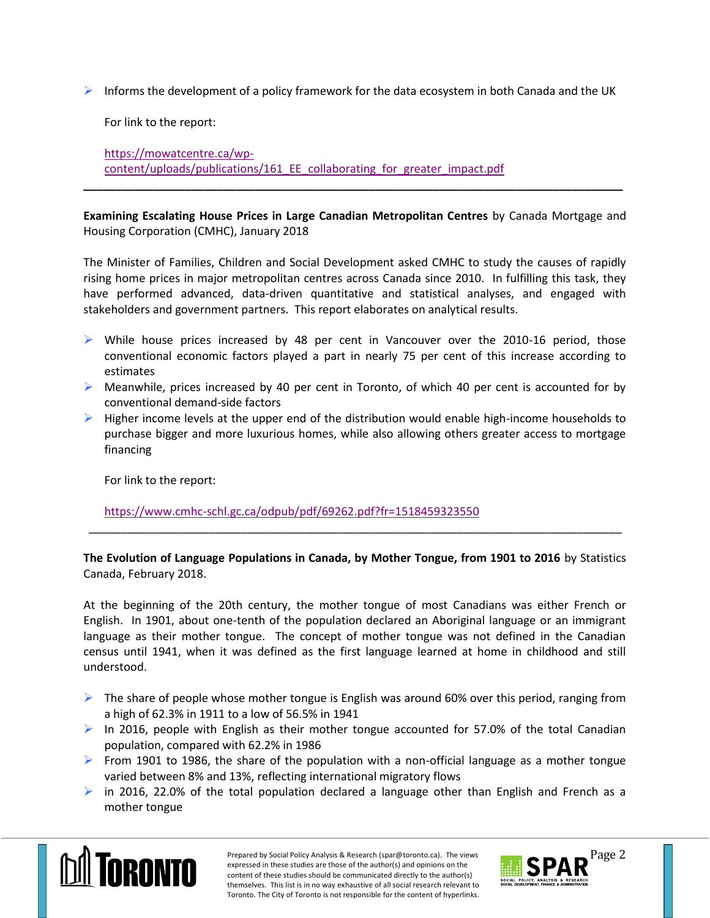Informs the development of a policy framework for the data ecosystem in both Canada and the UK

For link to the report:

[https://mowatcentre.ca/wp](https://mowatcentre.ca/wp-content/uploads/publications/161_EE_collaborating_for_greater_impact.pdf)[content/uploads/publications/161\\_EE\\_collaborating\\_for\\_greater\\_impact.pdf](https://mowatcentre.ca/wp-content/uploads/publications/161_EE_collaborating_for_greater_impact.pdf)

**Examining Escalating House Prices in Large Canadian Metropolitan Centres** by Canada Mortgage and Housing Corporation (CMHC), January 2018

**\_\_\_\_\_\_\_\_\_\_\_\_\_\_\_\_\_\_\_\_\_\_\_\_\_\_\_\_\_\_\_\_\_\_\_\_\_\_\_\_\_\_\_\_\_\_\_\_\_\_\_\_\_\_\_\_\_\_\_\_\_\_\_\_\_\_\_\_\_\_\_\_\_\_\_\_\_\_\_\_\_\_\_\_\_**

The Minister of Families, Children and Social Development asked CMHC to study the causes of rapidly rising home prices in major metropolitan centres across Canada since 2010. In fulfilling this task, they have performed advanced, data-driven quantitative and statistical analyses, and engaged with stakeholders and government partners. This report elaborates on analytical results.

- $\triangleright$  While house prices increased by 48 per cent in Vancouver over the 2010-16 period, those conventional economic factors played a part in nearly 75 per cent of this increase according to estimates
- $\triangleright$  Meanwhile, prices increased by 40 per cent in Toronto, of which 40 per cent is accounted for by conventional demand-side factors
- $\triangleright$  Higher income levels at the upper end of the distribution would enable high-income households to purchase bigger and more luxurious homes, while also allowing others greater access to mortgage financing

For link to the report:

<https://www.cmhc-schl.gc.ca/odpub/pdf/69262.pdf?fr=1518459323550>

**The Evolution of Language Populations in Canada, by Mother Tongue, from 1901 to 2016** by Statistics Canada, February 2018.

\_\_\_\_\_\_\_\_\_\_\_\_\_\_\_\_\_\_\_\_\_\_\_\_\_\_\_\_\_\_\_\_\_\_\_\_\_\_\_\_\_\_\_\_\_\_\_\_\_\_\_\_\_\_\_\_\_\_\_\_\_\_\_\_\_\_\_\_\_\_\_\_\_\_\_\_\_\_\_\_\_\_\_\_

At the beginning of the 20th century, the mother tongue of most Canadians was either French or English. In 1901, about one-tenth of the population declared an Aboriginal language or an immigrant language as their mother tongue. The concept of mother tongue was not defined in the Canadian census until 1941, when it was defined as the first language learned at home in childhood and still understood.

- $\triangleright$  The share of people whose mother tongue is English was around 60% over this period, ranging from a high of 62.3% in 1911 to a low of 56.5% in 1941
- In 2016, people with English as their mother tongue accounted for 57.0% of the total Canadian population, compared with 62.2% in 1986
- From 1901 to 1986, the share of the population with a non-official language as a mother tongue varied between 8% and 13%, reflecting international migratory flows
- in 2016, 22.0% of the total population declared a language other than English and French as a mother tongue